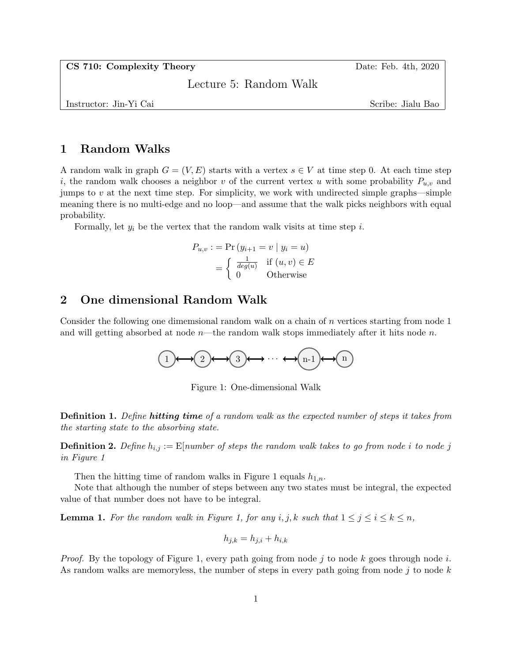CS 710: Complexity Theory Date: Feb. 4th, 2020

Lecture 5: Random Walk

Instructor: Jin-Yi Cai Scribe: Jialu Bao

## 1 Random Walks

A random walk in graph  $G = (V, E)$  starts with a vertex  $s \in V$  at time step 0. At each time step i, the random walk chooses a neighbor v of the current vertex u with some probability  $P_{u,v}$  and jumps to  $v$  at the next time step. For simplicity, we work with undirected simple graphs—simple meaning there is no multi-edge and no loop—and assume that the walk picks neighbors with equal probability.

Formally, let  $y_i$  be the vertex that the random walk visits at time step i.

$$
P_{u,v} := \Pr(y_{i+1} = v \mid y_i = u)
$$

$$
= \begin{cases} \frac{1}{deg(u)} & \text{if } (u, v) \in E \\ 0 & \text{Otherwise} \end{cases}
$$

## 2 One dimensional Random Walk

Consider the following one dimemsional random walk on a chain of  $n$  vertices starting from node 1 and will getting absorbed at node  $n$ —the random walk stops immediately after it hits node n.



Figure 1: One-dimensional Walk

**Definition 1.** Define **hitting time** of a random walk as the expected number of steps it takes from the starting state to the absorbing state.

**Definition 2.** Define  $h_{i,j} := \mathbb{E}[number\ of\ steps\ the\ random\ walk\ takes\ to\ go\ from\ node\ i\ to\ node\ j]$ in Figure 1

Then the hitting time of random walks in Figure 1 equals  $h_{1,n}$ .

Note that although the number of steps between any two states must be integral, the expected value of that number does not have to be integral.

**Lemma 1.** For the random walk in Figure 1, for any i, j, k such that  $1 \leq j \leq i \leq k \leq n$ ,

$$
h_{j,k} = h_{j,i} + h_{i,k}
$$

*Proof.* By the topology of Figure 1, every path going from node j to node k goes through node i. As random walks are memoryless, the number of steps in every path going from node  $j$  to node  $k$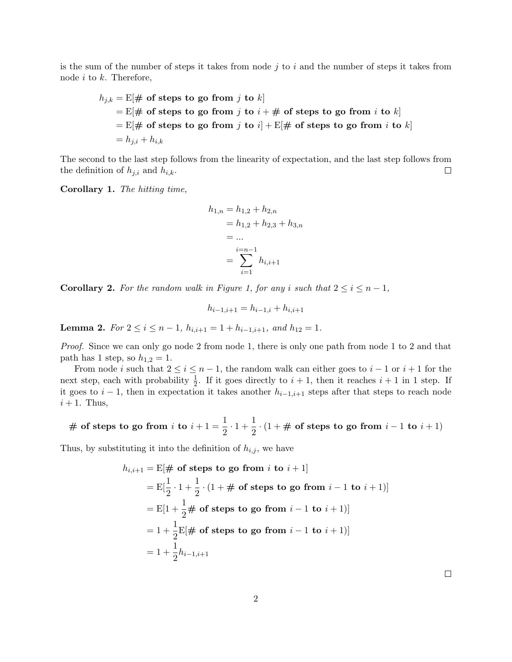is the sum of the number of steps it takes from node  $j$  to  $i$  and the number of steps it takes from node  $i$  to  $k$ . Therefore,

$$
h_{j,k} = \mathbb{E}[\# \text{ of steps to go from } j \text{ to } k]
$$
  
=  $\mathbb{E}[\# \text{ of steps to go from } j \text{ to } i + \# \text{ of steps to go from } i \text{ to } k]$   
=  $\mathbb{E}[\# \text{ of steps to go from } j \text{ to } i] + \mathbb{E}[\# \text{ of steps to go from } i \text{ to } k]$   
=  $h_{j,i} + h_{i,k}$ 

The second to the last step follows from the linearity of expectation, and the last step follows from  $\Box$ the definition of  $h_{j,i}$  and  $h_{i,k}$ .

Corollary 1. The hitting time,

$$
h_{1,n} = h_{1,2} + h_{2,n}
$$
  
=  $h_{1,2} + h_{2,3} + h_{3,n}$   
= ...  
= 
$$
\sum_{i=1}^{i=n-1} h_{i,i+1}
$$

**Corollary 2.** For the random walk in Figure 1, for any i such that  $2 \le i \le n-1$ ,

$$
h_{i-1,i+1} = h_{i-1,i} + h_{i,i+1}
$$

Lemma 2. For  $2 \le i \le n-1$ ,  $h_{i,i+1} = 1 + h_{i-1,i+1}$ , and  $h_{12} = 1$ .

Proof. Since we can only go node 2 from node 1, there is only one path from node 1 to 2 and that path has 1 step, so  $h_{1,2} = 1$ .

From node i such that  $2 \le i \le n-1$ , the random walk can either goes to  $i-1$  or  $i+1$  for the next step, each with probability  $\frac{1}{2}$ . If it goes directly to  $i + 1$ , then it reaches  $i + 1$  in 1 step. If it goes to  $i-1$ , then in expectation it takes another  $h_{i-1,i+1}$  steps after that steps to reach node  $i + 1$ . Thus,

# of steps to go from 
$$
i
$$
 to  $i + 1 = \frac{1}{2} \cdot 1 + \frac{1}{2} \cdot (1 + \# \text{ of steps to go from } i - 1 \text{ to } i + 1)$ 

Thus, by substituting it into the definition of  $h_{i,j}$ , we have

$$
h_{i,i+1} = \mathbb{E}[\# \text{ of steps to go from } i \text{ to } i+1]
$$
  
=  $\mathbb{E}[\frac{1}{2} \cdot 1 + \frac{1}{2} \cdot (1 + \# \text{ of steps to go from } i-1 \text{ to } i+1)]$   
=  $\mathbb{E}[1 + \frac{1}{2} \# \text{ of steps to go from } i-1 \text{ to } i+1)]$   
=  $1 + \frac{1}{2} \mathbb{E}[\# \text{ of steps to go from } i-1 \text{ to } i+1)]$   
=  $1 + \frac{1}{2} h_{i-1,i+1}$ 

 $\Box$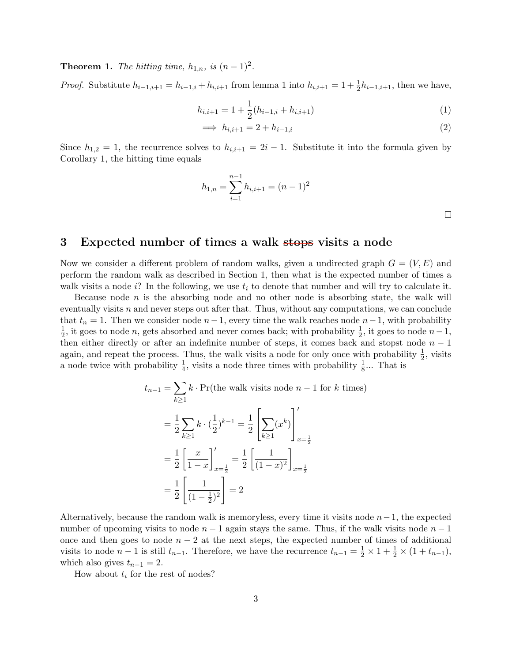**Theorem 1.** The hitting time,  $h_{1,n}$ , is  $(n-1)^2$ .

*Proof.* Substitute  $h_{i-1,i+1} = h_{i-1,i} + h_{i,i+1}$  from lemma 1 into  $h_{i,i+1} = 1 + \frac{1}{2}h_{i-1,i+1}$ , then we have,

$$
h_{i,i+1} = 1 + \frac{1}{2}(h_{i-1,i} + h_{i,i+1})
$$
\n(1)

$$
\implies h_{i,i+1} = 2 + h_{i-1,i} \tag{2}
$$

Since  $h_{1,2} = 1$ , the recurrence solves to  $h_{i,i+1} = 2i - 1$ . Substitute it into the formula given by Corollary 1, the hitting time equals

$$
h_{1,n} = \sum_{i=1}^{n-1} h_{i,i+1} = (n-1)^2
$$

 $\Box$ 

## 3 Expected number of times a walk stops visits a node

Now we consider a different problem of random walks, given a undirected graph  $G = (V, E)$  and perform the random walk as described in Section 1, then what is the expected number of times a walk visits a node i? In the following, we use  $t_i$  to denote that number and will try to calculate it.

Because node  $n$  is the absorbing node and no other node is absorbing state, the walk will eventually visits  $n$  and never steps out after that. Thus, without any computations, we can conclude that  $t_n = 1$ . Then we consider node  $n-1$ , every time the walk reaches node  $n-1$ , with probability 1  $\frac{1}{2}$ , it goes to node n, gets absorbed and never comes back; with probability  $\frac{1}{2}$ , it goes to node  $n-1$ , then either directly or after an indefinite number of steps, it comes back and stopst node  $n-1$ again, and repeat the process. Thus, the walk visits a node for only once with probability  $\frac{1}{2}$ , visits a node twice with probability  $\frac{1}{4}$ , visits a node three times with probability  $\frac{1}{8}$ ... That is

$$
t_{n-1} = \sum_{k\geq 1} k \cdot \Pr(\text{the walk visits node } n - 1 \text{ for } k \text{ times})
$$
  
=  $\frac{1}{2} \sum_{k\geq 1} k \cdot (\frac{1}{2})^{k-1} = \frac{1}{2} \left[ \sum_{k\geq 1} (x^k) \right]_{x=\frac{1}{2}}'$   
=  $\frac{1}{2} \left[ \frac{x}{1-x} \right]_{x=\frac{1}{2}}' = \frac{1}{2} \left[ \frac{1}{(1-x)^2} \right]_{x=\frac{1}{2}}$   
=  $\frac{1}{2} \left[ \frac{1}{(1-\frac{1}{2})^2} \right] = 2$ 

Alternatively, because the random walk is memoryless, every time it visits node  $n-1$ , the expected number of upcoming visits to node  $n-1$  again stays the same. Thus, if the walk visits node  $n-1$ once and then goes to node  $n-2$  at the next steps, the expected number of times of additional visits to node  $n-1$  is still  $t_{n-1}$ . Therefore, we have the recurrence  $t_{n-1} = \frac{1}{2} \times 1 + \frac{1}{2} \times (1 + t_{n-1}),$ which also gives  $t_{n-1} = 2$ .

How about  $t_i$  for the rest of nodes?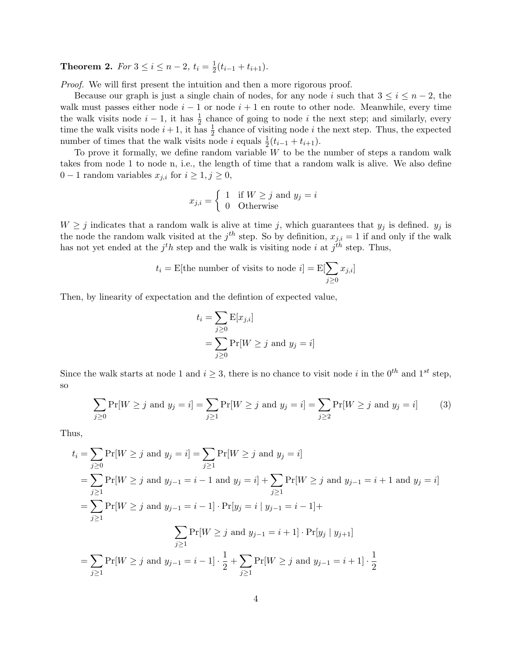**Theorem 2.** For  $3 \leq i \leq n-2$ ,  $t_i = \frac{1}{2}$  $\frac{1}{2}(t_{i-1}+t_{i+1}).$ 

Proof. We will first present the intuition and then a more rigorous proof.

Because our graph is just a single chain of nodes, for any node i such that  $3 \leq i \leq n-2$ , the walk must passes either node  $i - 1$  or node  $i + 1$  en route to other node. Meanwhile, every time the walk visits node  $i-1$ , it has  $\frac{1}{2}$  chance of going to node i the next step; and similarly, every time the walk visits node  $i + 1$ , it has  $\frac{1}{2}$  chance of visiting node i the next step. Thus, the expected number of times that the walk visits node *i* equals  $\frac{1}{2}(t_{i-1} + t_{i+1})$ .

To prove it formally, we define random variable  $W$  to be the number of steps a random walk takes from node 1 to node n, i.e., the length of time that a random walk is alive. We also define 0 − 1 random variables  $x_{j,i}$  for  $i \geq 1, j \geq 0$ ,

$$
x_{j,i} = \begin{cases} 1 & \text{if } W \ge j \text{ and } y_j = i \\ 0 & \text{Otherwise} \end{cases}
$$

 $W \geq j$  indicates that a random walk is alive at time j, which guarantees that  $y_j$  is defined.  $y_j$  is the node the random walk visited at the  $j<sup>th</sup>$  step. So by definition,  $x_{j,i} = 1$  if and only if the walk has not yet ended at the  $j<sup>t</sup>h$  step and the walk is visiting node i at  $j<sup>th</sup>$  step. Thus,

$$
t_i
$$
 = E[the number of visits to node  $i$ ] = E[ $\sum_{j\geq 0} x_{j,i}$ ]

Then, by linearity of expectation and the defintion of expected value,

$$
t_i = \sum_{j\geq 0} \mathbf{E}[x_{j,i}]
$$
  
= 
$$
\sum_{j\geq 0} \Pr[W \geq j \text{ and } y_j = i]
$$

Since the walk starts at node 1 and  $i \geq 3$ , there is no chance to visit node i in the  $0^{th}$  and  $1^{st}$  step, so

$$
\sum_{j\geq 0} \Pr[W \geq j \text{ and } y_j = i] = \sum_{j\geq 1} \Pr[W \geq j \text{ and } y_j = i] = \sum_{j\geq 2} \Pr[W \geq j \text{ and } y_j = i]
$$
(3)

Thus,

$$
t_i = \sum_{j\geq 0} \Pr[W \geq j \text{ and } y_j = i] = \sum_{j\geq 1} \Pr[W \geq j \text{ and } y_j = i]
$$
  
=  $\sum_{j\geq 1} \Pr[W \geq j \text{ and } y_{j-1} = i - 1 \text{ and } y_j = i] + \sum_{j\geq 1} \Pr[W \geq j \text{ and } y_{j-1} = i + 1 \text{ and } y_j = i]$   
=  $\sum_{j\geq 1} \Pr[W \geq j \text{ and } y_{j-1} = i - 1] \cdot \Pr[y_j = i | y_{j-1} = i - 1] + \sum_{j\geq 1} \Pr[W \geq j \text{ and } y_{j-1} = i + 1] \cdot \Pr[y_j | y_{j+1}]$   
=  $\sum_{j\geq 1} \Pr[W \geq j \text{ and } y_{j-1} = i - 1] \cdot \frac{1}{2} + \sum_{j\geq 1} \Pr[W \geq j \text{ and } y_{j-1} = i + 1] \cdot \frac{1}{2}$